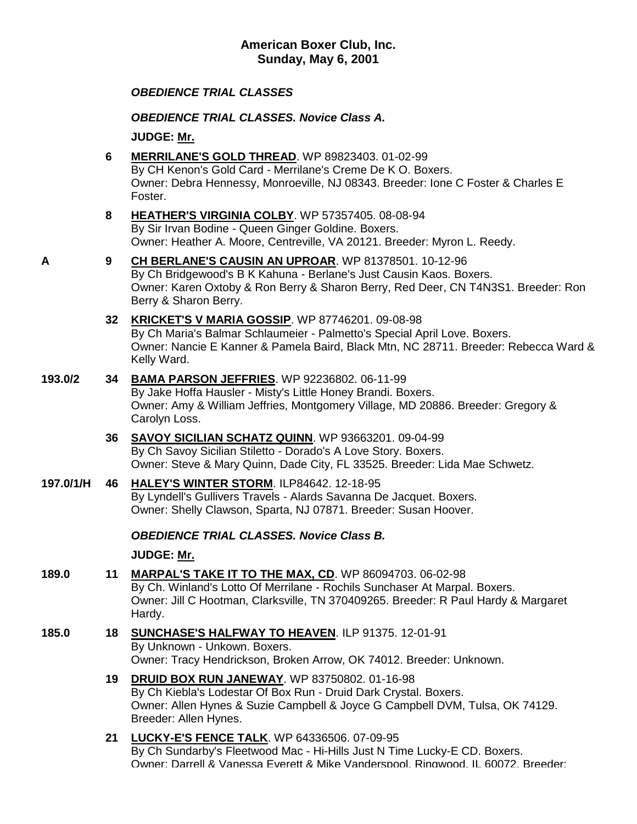## *OBEDIENCE TRIAL CLASSES*

*OBEDIENCE TRIAL CLASSES. Novice Class A.*

**JUDGE: [Mr.](http://www.infodog.com/show/judge/jdgprofile.htm?jn=)**

- **6 [MERRILANE'S GOLD THREAD](http://www.infodog.com/my/drlookup2.htm?makc=WP%2089823403&mdog=Merrilane%27s+Gold+Thread&wins=all)**. WP 89823403. 01-02-99 By CH Kenon's Gold Card - Merrilane's Creme De K O. Boxers. Owner: Debra Hennessy, Monroeville, NJ 08343. Breeder: Ione C Foster & Charles E Foster.
- **8 [HEATHER'S VIRGINIA COLBY](http://www.infodog.com/my/drlookup2.htm?makc=WP%2057357405&mdog=Heather%27s+Virginia+Colby&wins=all)**. WP 57357405. 08-08-94 By Sir Irvan Bodine - Queen Ginger Goldine. Boxers. Owner: Heather A. Moore, Centreville, VA 20121. Breeder: Myron L. Reedy.
- **A 9 [CH BERLANE'S CAUSIN AN UPROAR](http://www.infodog.com/my/drlookup2.htm?makc=WP%2081378501&mdog=Ch+Berlane%27s+Causin+An+Uproar&wins=all)**. WP 81378501. 10-12-96 By Ch Bridgewood's B K Kahuna - Berlane's Just Causin Kaos. Boxers. Owner: Karen Oxtoby & Ron Berry & Sharon Berry, Red Deer, CN T4N3S1. Breeder: Ron Berry & Sharon Berry.

#### **32 [KRICKET'S V MARIA GOSSIP](http://www.infodog.com/my/drlookup2.htm?makc=WP%2087746201&mdog=Kricket%27s+V+Maria+Gossip&wins=all)**. WP 87746201. 09-08-98 By Ch Maria's Balmar Schlaumeier - Palmetto's Special April Love. Boxers. Owner: Nancie E Kanner & Pamela Baird, Black Mtn, NC 28711. Breeder: Rebecca Ward & Kelly Ward.

- **193.0/2 34 [BAMA PARSON JEFFRIES](http://www.infodog.com/my/drlookup2.htm?makc=WP%2092236802&mdog=Bama+Parson+Jeffries&wins=all)**. WP 92236802. 06-11-99 By Jake Hoffa Hausler - Misty's Little Honey Brandi. Boxers. Owner: Amy & William Jeffries, Montgomery Village, MD 20886. Breeder: Gregory & Carolyn Loss.
	- **36 [SAVOY SICILIAN SCHATZ QUINN](http://www.infodog.com/my/drlookup2.htm?makc=WP%2093663201&mdog=Savoy+Sicilian+Schatz+Quinn&wins=all)**. WP 93663201. 09-04-99 By Ch Savoy Sicilian Stiletto - Dorado's A Love Story. Boxers. Owner: Steve & Mary Quinn, Dade City, FL 33525. Breeder: Lida Mae Schwetz.
- **197.0/1/H 46 [HALEY'S WINTER STORM](http://www.infodog.com/my/drlookup2.htm?makc=ILP84642&mdog=Haley%27s+Winter+Storm&wins=all)**. ILP84642. 12-18-95 By Lyndell's Gullivers Travels - Alards Savanna De Jacquet. Boxers. Owner: Shelly Clawson, Sparta, NJ 07871. Breeder: Susan Hoover.

## *OBEDIENCE TRIAL CLASSES. Novice Class B.*

**JUDGE: [Mr.](http://www.infodog.com/show/judge/jdgprofile.htm?jn=)**

- **189.0 11 [MARPAL'S TAKE IT TO THE MAX, CD](http://www.infodog.com/my/drlookup2.htm?makc=WP%2086094703&mdog=Marpal%27s+Take+It+To+The+Max,+CD&wins=all)**. WP 86094703. 06-02-98 By Ch. Winland's Lotto Of Merrilane - Rochils Sunchaser At Marpal. Boxers. Owner: Jill C Hootman, Clarksville, TN 370409265. Breeder: R Paul Hardy & Margaret Hardy.
- **185.0 18 [SUNCHASE'S HALFWAY TO HEAVEN](http://www.infodog.com/my/drlookup2.htm?makc=ILP%2091375&mdog=Sunchase%27s+Halfway+To+Heaven&wins=all)**. ILP 91375. 12-01-91 By Unknown - Unkown. Boxers. Owner: Tracy Hendrickson, Broken Arrow, OK 74012. Breeder: Unknown.
	- **19 [DRUID BOX RUN JANEWAY](http://www.infodog.com/my/drlookup2.htm?makc=WP%2083750802&mdog=Druid+Box+Run+Janeway&wins=all)**. WP 83750802. 01-16-98 By Ch Kiebla's Lodestar Of Box Run - Druid Dark Crystal. Boxers. Owner: Allen Hynes & Suzie Campbell & Joyce G Campbell DVM, Tulsa, OK 74129. Breeder: Allen Hynes.
	- **21 [LUCKY-E'S FENCE TALK](http://www.infodog.com/my/drlookup2.htm?makc=WP%2064336506&mdog=Lucky-E%27s+Fence+Talk&wins=all)**. WP 64336506. 07-09-95 By Ch Sundarby's Fleetwood Mac - Hi-Hills Just N Time Lucky-E CD. Boxers. Owner: Darrell & Vanessa Everett & Mike Vanderspool, Ringwood, IL 60072. Breeder: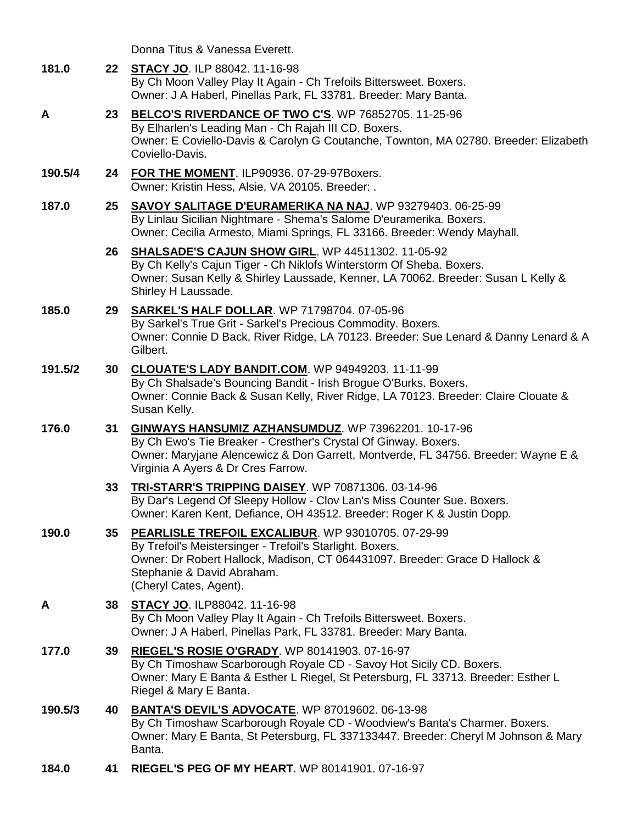Donna Titus & Vanessa Everett.

| 181.0   |        | 22 STACY JO. ILP 88042. 11-16-98<br>By Ch Moon Valley Play It Again - Ch Trefoils Bittersweet. Boxers.<br>Owner: J A Haberl, Pinellas Park, FL 33781. Breeder: Mary Banta.                                                                                    |
|---------|--------|---------------------------------------------------------------------------------------------------------------------------------------------------------------------------------------------------------------------------------------------------------------|
| A       |        | 23 BELCO'S RIVERDANCE OF TWO C'S. WP 76852705. 11-25-96<br>By Elharlen's Leading Man - Ch Rajah III CD. Boxers.<br>Owner: E Coviello-Davis & Carolyn G Coutanche, Townton, MA 02780. Breeder: Elizabeth<br>Coviello-Davis.                                    |
| 190.5/4 | 24     | FOR THE MOMENT. ILP90936. 07-29-97Boxers.<br>Owner: Kristin Hess, Alsie, VA 20105. Breeder: .                                                                                                                                                                 |
| 187.0   | $25\,$ | SAVOY SALITAGE D'EURAMERIKA NA NAJ. WP 93279403. 06-25-99<br>By Linlau Sicilian Nightmare - Shema's Salome D'euramerika. Boxers.<br>Owner: Cecilia Armesto, Miami Springs, FL 33166. Breeder: Wendy Mayhall.                                                  |
|         |        | 26 SHALSADE'S CAJUN SHOW GIRL. WP 44511302. 11-05-92<br>By Ch Kelly's Cajun Tiger - Ch Niklofs Winterstorm Of Sheba. Boxers.<br>Owner: Susan Kelly & Shirley Laussade, Kenner, LA 70062. Breeder: Susan L Kelly &<br>Shirley H Laussade.                      |
| 185.0   | 29     | <b>SARKEL'S HALF DOLLAR.</b> WP 71798704. 07-05-96<br>By Sarkel's True Grit - Sarkel's Precious Commodity. Boxers.<br>Owner: Connie D Back, River Ridge, LA 70123. Breeder: Sue Lenard & Danny Lenard & A<br>Gilbert.                                         |
| 191.5/2 | 30     | <b>CLOUATE'S LADY BANDIT.COM.</b> WP 94949203. 11-11-99<br>By Ch Shalsade's Bouncing Bandit - Irish Brogue O'Burks. Boxers.<br>Owner: Connie Back & Susan Kelly, River Ridge, LA 70123. Breeder: Claire Clouate &<br>Susan Kelly.                             |
| 176.0   | 31     | GINWAYS HANSUMIZ AZHANSUMDUZ. WP 73962201. 10-17-96<br>By Ch Ewo's Tie Breaker - Cresther's Crystal Of Ginway. Boxers.<br>Owner: Maryjane Alencewicz & Don Garrett, Montverde, FL 34756. Breeder: Wayne E &<br>Virginia A Ayers & Dr Cres Farrow.             |
|         | 33     | TRI-STARR'S TRIPPING DAISEY. WP 70871306. 03-14-96<br>By Dar's Legend Of Sleepy Hollow - Clov Lan's Miss Counter Sue. Boxers.<br>Owner: Karen Kent, Defiance, OH 43512. Breeder: Roger K & Justin Dopp.                                                       |
| 190.0   | 35     | <b>PEARLISLE TREFOIL EXCALIBUR.</b> WP 93010705. 07-29-99<br>By Trefoil's Meistersinger - Trefoil's Starlight. Boxers.<br>Owner: Dr Robert Hallock, Madison, CT 064431097. Breeder: Grace D Hallock &<br>Stephanie & David Abraham.<br>(Cheryl Cates, Agent). |
| A       | 38     | <b>STACY JO. ILP88042. 11-16-98</b><br>By Ch Moon Valley Play It Again - Ch Trefoils Bittersweet. Boxers.<br>Owner: J A Haberl, Pinellas Park, FL 33781. Breeder: Mary Banta.                                                                                 |
| 177.0   | 39     | RIEGEL'S ROSIE O'GRADY. WP 80141903. 07-16-97<br>By Ch Timoshaw Scarborough Royale CD - Savoy Hot Sicily CD. Boxers.<br>Owner: Mary E Banta & Esther L Riegel, St Petersburg, FL 33713. Breeder: Esther L<br>Riegel & Mary E Banta.                           |
| 190.5/3 | 40     | <b>BANTA'S DEVIL'S ADVOCATE.</b> WP 87019602. 06-13-98<br>By Ch Timoshaw Scarborough Royale CD - Woodview's Banta's Charmer. Boxers.<br>Owner: Mary E Banta, St Petersburg, FL 337133447. Breeder: Cheryl M Johnson & Mary<br>Banta.                          |
|         |        |                                                                                                                                                                                                                                                               |

**184.0 41 [RIEGEL'S PEG OF MY HEART](http://www.infodog.com/my/drlookup2.htm?makc=WP%2080141901&mdog=Riegel%27s+Peg+Of+My+Heart&wins=all)**. WP 80141901. 07-16-97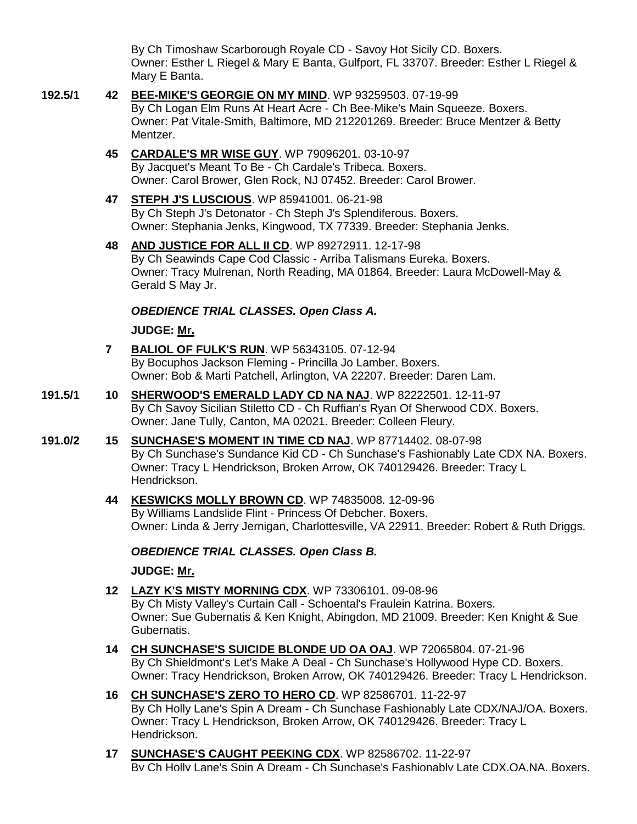By Ch Timoshaw Scarborough Royale CD - Savoy Hot Sicily CD. Boxers. Owner: Esther L Riegel & Mary E Banta, Gulfport, FL 33707. Breeder: Esther L Riegel & Mary E Banta.

**192.5/1 42 [BEE-MIKE'S GEORGIE ON MY MIND](http://www.infodog.com/my/drlookup2.htm?makc=WP%2093259503&mdog=Bee-Mike%27s+Georgie+On+My+Mind&wins=all)**. WP 93259503. 07-19-99 By Ch Logan Elm Runs At Heart Acre - Ch Bee-Mike's Main Squeeze. Boxers. Owner: Pat Vitale-Smith, Baltimore, MD 212201269. Breeder: Bruce Mentzer & Betty Mentzer. **45 [CARDALE'S MR WISE GUY](http://www.infodog.com/my/drlookup2.htm?makc=WP%2079096201&mdog=Cardale%27s+Mr+Wise+Guy&wins=all)**. WP 79096201. 03-10-97 By Jacquet's Meant To Be - Ch Cardale's Tribeca. Boxers. Owner: Carol Brower, Glen Rock, NJ 07452. Breeder: Carol Brower. **47 [STEPH J'S LUSCIOUS](http://www.infodog.com/my/drlookup2.htm?makc=WP%2085941001&mdog=Steph+J%27s+Luscious&wins=all)**. WP 85941001. 06-21-98 By Ch Steph J's Detonator - Ch Steph J's Splendiferous. Boxers. Owner: Stephania Jenks, Kingwood, TX 77339. Breeder: Stephania Jenks. **48 [AND JUSTICE FOR ALL II CD](http://www.infodog.com/my/drlookup2.htm?makc=WP%2089272911&mdog=And+Justice+For+All+II+CD&wins=all)**. WP 89272911. 12-17-98

By Ch Seawinds Cape Cod Classic - Arriba Talismans Eureka. Boxers. Owner: Tracy Mulrenan, North Reading, MA 01864. Breeder: Laura McDowell-May & Gerald S May Jr.

### *OBEDIENCE TRIAL CLASSES. Open Class A.*

**JUDGE: [Mr.](http://www.infodog.com/show/judge/jdgprofile.htm?jn=)**

- **7 [BALIOL OF FULK'S RUN](http://www.infodog.com/my/drlookup2.htm?makc=WP%2056343105&mdog=Baliol+Of+Fulk%27s+Run&wins=all)**. WP 56343105. 07-12-94 By Bocuphos Jackson Fleming - Princilla Jo Lamber. Boxers. Owner: Bob & Marti Patchell, Arlington, VA 22207. Breeder: Daren Lam.
- **191.5/1 10 [SHERWOOD'S EMERALD LADY CD NA NAJ](http://www.infodog.com/my/drlookup2.htm?makc=WP%2082222501&mdog=Sherwood%27s+Emerald+Lady+CD+NA+NAJ&wins=all)**. WP 82222501. 12-11-97 By Ch Savoy Sicilian Stiletto CD - Ch Ruffian's Ryan Of Sherwood CDX. Boxers. Owner: Jane Tully, Canton, MA 02021. Breeder: Colleen Fleury.
- **191.0/2 15 [SUNCHASE'S MOMENT IN TIME CD NAJ](http://www.infodog.com/my/drlookup2.htm?makc=WP%2087714402&mdog=Sunchase%27s+Moment+In+Time+CD+NAJ&wins=all)**. WP 87714402. 08-07-98 By Ch Sunchase's Sundance Kid CD - Ch Sunchase's Fashionably Late CDX NA. Boxers. Owner: Tracy L Hendrickson, Broken Arrow, OK 740129426. Breeder: Tracy L Hendrickson.
	- **44 [KESWICKS MOLLY BROWN CD](http://www.infodog.com/my/drlookup2.htm?makc=WP%2074835008&mdog=Keswicks+Molly+Brown+CD&wins=all)**. WP 74835008. 12-09-96 By Williams Landslide Flint - Princess Of Debcher. Boxers. Owner: Linda & Jerry Jernigan, Charlottesville, VA 22911. Breeder: Robert & Ruth Driggs.

## *OBEDIENCE TRIAL CLASSES. Open Class B.*

**JUDGE: [Mr.](http://www.infodog.com/show/judge/jdgprofile.htm?jn=)**

- **12 [LAZY K'S MISTY MORNING CDX](http://www.infodog.com/my/drlookup2.htm?makc=WP%2073306101&mdog=Lazy+K%27s+Misty+Morning+CDX&wins=all)**. WP 73306101. 09-08-96 By Ch Misty Valley's Curtain Call - Schoental's Fraulein Katrina. Boxers. Owner: Sue Gubernatis & Ken Knight, Abingdon, MD 21009. Breeder: Ken Knight & Sue Gubernatis.
- **14 [CH SUNCHASE'S SUICIDE BLONDE UD OA OAJ](http://www.infodog.com/my/drlookup2.htm?makc=WP%2072065804&mdog=Ch+Sunchase%27s+Suicide+Blonde+UD+OA+OAJ&wins=all)**. WP 72065804. 07-21-96 By Ch Shieldmont's Let's Make A Deal - Ch Sunchase's Hollywood Hype CD. Boxers. Owner: Tracy Hendrickson, Broken Arrow, OK 740129426. Breeder: Tracy L Hendrickson.
- **16 [CH SUNCHASE'S ZERO TO HERO CD](http://www.infodog.com/my/drlookup2.htm?makc=WP%2082586701&mdog=Ch+Sunchase%27s+Zero+To+Hero+CD&wins=all)**. WP 82586701. 11-22-97 By Ch Holly Lane's Spin A Dream - Ch Sunchase Fashionably Late CDX/NAJ/OA. Boxers. Owner: Tracy L Hendrickson, Broken Arrow, OK 740129426. Breeder: Tracy L Hendrickson.
- **17 [SUNCHASE'S CAUGHT PEEKING CDX](http://www.infodog.com/my/drlookup2.htm?makc=WP%2082586702&mdog=Sunchase%27s+Caught+Peeking+CDX&wins=all)**. WP 82586702. 11-22-97 By Ch Holly Lane's Spin A Dream - Ch Sunchase's Fashionably Late CDX,OA,NA. Boxers.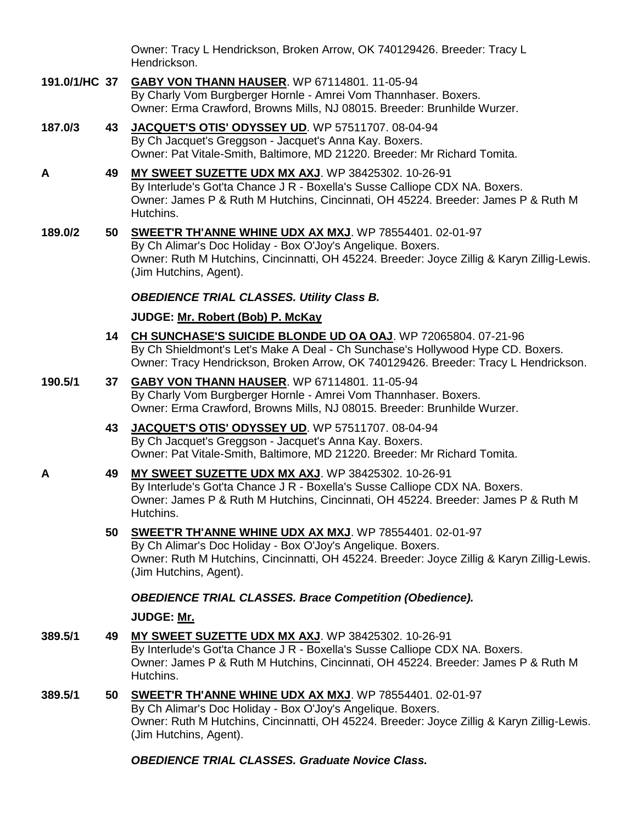Owner: Tracy L Hendrickson, Broken Arrow, OK 740129426. Breeder: Tracy L Hendrickson.

- **191.0/1/HC 37 [GABY VON THANN HAUSER](http://www.infodog.com/my/drlookup2.htm?makc=WP%2067114801&mdog=Gaby+Von+Thann+Hauser&wins=all)**. WP 67114801. 11-05-94 By Charly Vom Burgberger Hornle - Amrei Vom Thannhaser. Boxers. Owner: Erma Crawford, Browns Mills, NJ 08015. Breeder: Brunhilde Wurzer.
- **187.0/3 43 [JACQUET'S OTIS' ODYSSEY UD](http://www.infodog.com/my/drlookup2.htm?makc=WP%2057511707&mdog=Jacquet%27s+Otis%27+Odyssey+UD&wins=all)**. WP 57511707. 08-04-94 By Ch Jacquet's Greggson - Jacquet's Anna Kay. Boxers. Owner: Pat Vitale-Smith, Baltimore, MD 21220. Breeder: Mr Richard Tomita.
- **A 49 [MY SWEET SUZETTE UDX MX AXJ](http://www.infodog.com/my/drlookup2.htm?makc=WP%2038425302&mdog=My+Sweet+Suzette+UDX+MX+AXJ&wins=all)**. WP 38425302. 10-26-91 By Interlude's Got'ta Chance J R - Boxella's Susse Calliope CDX NA. Boxers. Owner: James P & Ruth M Hutchins, Cincinnati, OH 45224. Breeder: James P & Ruth M Hutchins.
- **189.0/2 50 [SWEET'R TH'ANNE WHINE UDX AX MXJ](http://www.infodog.com/my/drlookup2.htm?makc=WP%2078554401&mdog=Sweet%27r+Th%27Anne+Whine+UDX+AX+MXJ&wins=all)**. WP 78554401. 02-01-97 By Ch Alimar's Doc Holiday - Box O'Joy's Angelique. Boxers. Owner: Ruth M Hutchins, Cincinnatti, OH 45224. Breeder: Joyce Zillig & Karyn Zillig-Lewis. (Jim Hutchins, Agent).

## *OBEDIENCE TRIAL CLASSES. Utility Class B.*

## **JUDGE: [Mr. Robert \(Bob\) P. McKay](http://www.infodog.com/show/judge/jdgprofile.htm?jn=50268)**

- **14 [CH SUNCHASE'S SUICIDE BLONDE UD OA OAJ](http://www.infodog.com/my/drlookup2.htm?makc=WP%2072065804&mdog=Ch+Sunchase%27s+Suicide+Blonde+UD+OA+OAJ&wins=all)**. WP 72065804. 07-21-96 By Ch Shieldmont's Let's Make A Deal - Ch Sunchase's Hollywood Hype CD. Boxers. Owner: Tracy Hendrickson, Broken Arrow, OK 740129426. Breeder: Tracy L Hendrickson.
- **190.5/1 37 [GABY VON THANN HAUSER](http://www.infodog.com/my/drlookup2.htm?makc=WP%2067114801&mdog=Gaby+Von+Thann+Hauser&wins=all)**. WP 67114801. 11-05-94 By Charly Vom Burgberger Hornle - Amrei Vom Thannhaser. Boxers. Owner: Erma Crawford, Browns Mills, NJ 08015. Breeder: Brunhilde Wurzer.
	- **43 [JACQUET'S OTIS' ODYSSEY UD](http://www.infodog.com/my/drlookup2.htm?makc=WP%2057511707&mdog=Jacquet%27s+Otis%27+Odyssey+UD&wins=all)**. WP 57511707. 08-04-94 By Ch Jacquet's Greggson - Jacquet's Anna Kay. Boxers. Owner: Pat Vitale-Smith, Baltimore, MD 21220. Breeder: Mr Richard Tomita.
- **A 49 [MY SWEET SUZETTE UDX MX AXJ](http://www.infodog.com/my/drlookup2.htm?makc=WP%2038425302&mdog=My+Sweet+Suzette+UDX+MX+AXJ&wins=all)**. WP 38425302. 10-26-91 By Interlude's Got'ta Chance J R - Boxella's Susse Calliope CDX NA. Boxers. Owner: James P & Ruth M Hutchins, Cincinnati, OH 45224. Breeder: James P & Ruth M Hutchins.
	- **50 [SWEET'R TH'ANNE WHINE UDX AX MXJ](http://www.infodog.com/my/drlookup2.htm?makc=WP%2078554401&mdog=Sweet%27r+Th%27Anne+Whine+UDX+AX+MXJ&wins=all)**. WP 78554401. 02-01-97 By Ch Alimar's Doc Holiday - Box O'Joy's Angelique. Boxers. Owner: Ruth M Hutchins, Cincinnatti, OH 45224. Breeder: Joyce Zillig & Karyn Zillig-Lewis. (Jim Hutchins, Agent).

# *OBEDIENCE TRIAL CLASSES. Brace Competition (Obedience).*

## **JUDGE: [Mr.](http://www.infodog.com/show/judge/jdgprofile.htm?jn=)**

- **389.5/1 49 [MY SWEET SUZETTE UDX MX AXJ](http://www.infodog.com/my/drlookup2.htm?makc=WP%2038425302&mdog=My+Sweet+Suzette+UDX+MX+AXJ&wins=all)**. WP 38425302. 10-26-91 By Interlude's Got'ta Chance J R - Boxella's Susse Calliope CDX NA. Boxers. Owner: James P & Ruth M Hutchins, Cincinnati, OH 45224. Breeder: James P & Ruth M Hutchins.
- **389.5/1 50 [SWEET'R TH'ANNE WHINE UDX AX MXJ](http://www.infodog.com/my/drlookup2.htm?makc=WP%2078554401&mdog=Sweet%27r+Th%27Anne+Whine+UDX+AX+MXJ&wins=all)**. WP 78554401. 02-01-97 By Ch Alimar's Doc Holiday - Box O'Joy's Angelique. Boxers. Owner: Ruth M Hutchins, Cincinnatti, OH 45224. Breeder: Joyce Zillig & Karyn Zillig-Lewis. (Jim Hutchins, Agent).

# *OBEDIENCE TRIAL CLASSES. Graduate Novice Class.*